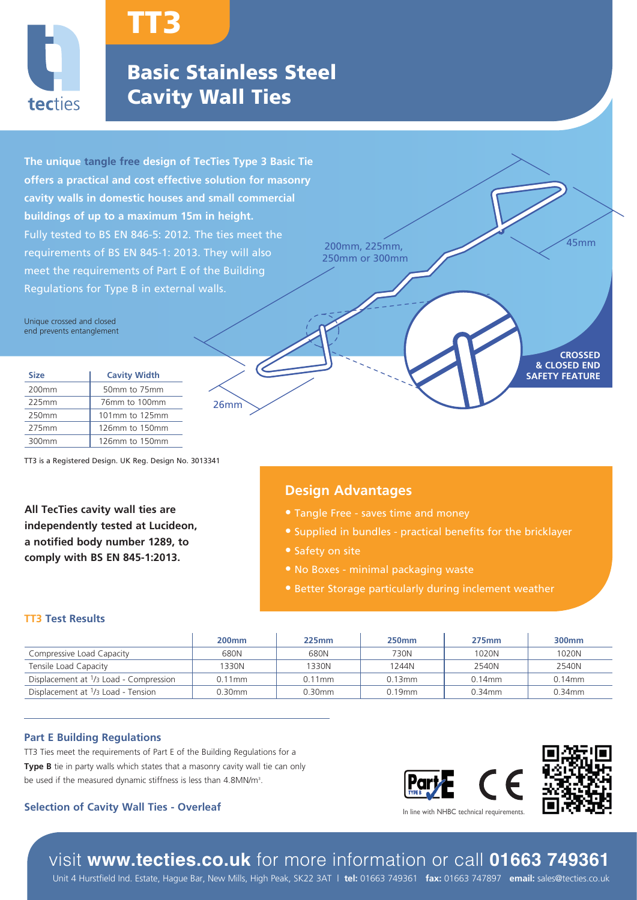

# TT3

## Basic Stainless Steel Cavity Wall Ties

26mm

**The unique tangle free design of TecTies Type 3 Basic Tie offers a practical and cost effective solution for masonry cavity walls in domestic houses and small commercial buildings of up to a maximum 15m in height.**  Fully tested to BS EN 846-5: 2012. The ties meet the requirements of BS EN 845-1: 2013. They will also meet the requirements of Part E of the Building Regulations for Type B in external walls.

Unique crossed and closed end prevents entanglement

| <b>Size</b>       | <b>Cavity Width</b> |  |
|-------------------|---------------------|--|
| 200 <sub>mm</sub> | 50mm to 75mm        |  |
| 225mm             | 76mm to 100mm       |  |
| 250mm             | 101mm to 125mm      |  |
| 275mm             | 126mm to 150mm      |  |
| 300mm             | 126mm to 150mm      |  |

TT3 is a Registered Design. UK Reg. Design No. 3013341

**All TecTies cavity wall ties are independently tested at Lucideon, a notified body number 1289, to comply with BS EN 845-1:2013.**

200mm, 225mm, 45mm 250mm or 300mm

### **Design Advantages**

- **•** Tangle Free saves time and money
- **•** Supplied in bundles practical benefits for the bricklayer
- 
- **•** No Boxes minimal packaging waste
- **•** Better Storage particularly during inclement weather

#### **TT3 Test Results**

|                                                                | 200 <sub>mm</sub> | 225mm     | <b>250mm</b> | <b>275mm</b> | 300 <sub>mm</sub> |
|----------------------------------------------------------------|-------------------|-----------|--------------|--------------|-------------------|
| Compressive Load Capacity                                      | 680N              | 680N      | 730N         | 1020N        | 1020N             |
| Tensile Load Capacity                                          | 1330N             | 1330N     | 1244N        | 2540N        | 2540N             |
| Displacement at <sup>1</sup> / <sub>3</sub> Load - Compression | $0.11$ mm         | $0.11$ mm | $0.13$ mm    | $0.14$ mm    | $0.14$ mm         |
| Displacement at <sup>1</sup> /3 Load - Tension                 | 0.30mm            | $0.30$ mm | 0.19mm       | $0.34$ mm    | 0.34mm            |

#### **Part E Building Regulations**

TT3 Ties meet the requirements of Part E of the Building Regulations for a **Type B** tie in party walls which states that a masonry cavity wall tie can only be used if the measured dynamic stiffness is less than 4.8MN/m<sup>3</sup>.

#### **Selection of Cavity Wall Ties - Overleaf**



**CROSSED & CLOSED END SAFETY FEATURE**

## visit **www.tecties.co.uk** for more information or call **01663 749361**

Unit 4 Hurstfield Ind. Estate, Hague Bar, New Mills, High Peak, SK22 3AT | **tel:** 01663 749361 **fax:** 01663 747897 **email:** sales@tecties.co.uk